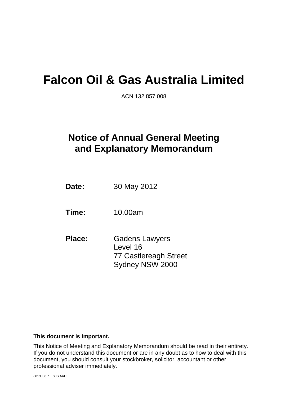# **Falcon Oil & Gas Australia Limited**

ACN 132 857 008

## **Notice of Annual General Meeting and Explanatory Memorandum**

**Date:** 30 May 2012

**Time:** 10.00am

**Place:** Gadens Lawyers Level 16 77 Castlereagh Street Sydney NSW 2000

#### **This document is important.**

This Notice of Meeting and Explanatory Memorandum should be read in their entirety. If you do not understand this document or are in any doubt as to how to deal with this document, you should consult your stockbroker, solicitor, accountant or other professional adviser immediately.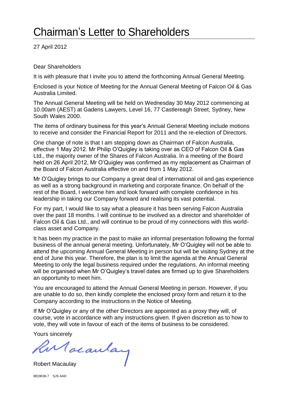# Chairman's Letter to Shareholders

27 April 2012

#### Dear Shareholders

It is with pleasure that I invite you to attend the forthcoming Annual General Meeting.

Enclosed is your Notice of Meeting for the Annual General Meeting of Falcon Oil & Gas Australia Limited.

The Annual General Meeting will be held on Wednesday 30 May 2012 commencing at 10.00am (AEST) at Gadens Lawyers, Level 16, 77 Castlereagh Street, Sydney, New South Wales 2000.

The items of ordinary business for this year's Annual General Meeting include motions to receive and consider the Financial Report for 2011 and the re-election of Directors.

One change of note is that I am stepping down as Chairman of Falcon Australia, effective 1 May 2012. Mr Philip O'Quigley is taking over as CEO of Falcon Oil & Gas Ltd., the majority owner of the Shares of Falcon Australia. In a meeting of the Board held on 26 April 2012, Mr O'Quigley was confirmed as my replacement as Chairman of the Board of Falcon Australia effective on and from 1 May 2012.

Mr O'Quigley brings to our Company a great deal of international oil and gas experience as well as a strong background in marketing and corporate finance. On behalf of the rest of the Board, I welcome him and look forward with complete confidence in his leadership in taking our Company forward and realising its vast potential.

For my part, I would like to say what a pleasure it has been serving Falcon Australia over the past 18 months. I will continue to be involved as a director and shareholder of Falcon Oil & Gas Ltd., and will continue to be proud of my connections with this worldclass asset and Company.

It has been my practice in the past to make an informal presentation following the formal business of the annual general meeting. Unfortunately, Mr O'Quigley will not be able to attend the upcoming Annual General Meeting in person but will be visiting Sydney at the end of June this year. Therefore, the plan is to limit the agenda at the Annual General Meeting to only the legal business required under the regulations. An informal meeting will be organised when Mr O'Quigley's travel dates are firmed up to give Shareholders an opportunity to meet him.

You are encouraged to attend the Annual General Meeting in person. However, if you are unable to do so, then kindly complete the enclosed proxy form and return it to the Company according to the instructions in the Notice of Meeting.

If Mr O'Quigley or any of the other Directors are appointed as a proxy they will, of course, vote in accordance with any instructions given. If given discretion as to how to vote, they will vote in favour of each of the items of business to be considered.

Yours sincerely

Rur acaulay

8819036.7 SJS AAD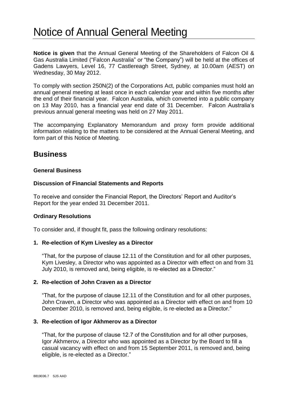## Notice of Annual General Meeting

**Notice is given** that the Annual General Meeting of the Shareholders of Falcon Oil & Gas Australia Limited ("Falcon Australia" or "the Company") will be held at the offices of Gadens Lawyers, Level 16, 77 Castlereagh Street, Sydney, at 10.00am (AEST) on Wednesday, 30 May 2012.

To comply with section 250N(2) of the Corporations Act, public companies must hold an annual general meeting at least once in each calendar year and within five months after the end of their financial year. Falcon Australia, which converted into a public company on 13 May 2010, has a financial year end date of 31 December. Falcon Australia's previous annual general meeting was held on 27 May 2011.

The accompanying Explanatory Memorandum and proxy form provide additional information relating to the matters to be considered at the Annual General Meeting, and form part of this Notice of Meeting.

## **Business**

#### **General Business**

#### **Discussion of Financial Statements and Reports**

To receive and consider the Financial Report, the Directors' Report and Auditor's Report for the year ended 31 December 2011.

#### **Ordinary Resolutions**

To consider and, if thought fit, pass the following ordinary resolutions:

#### **1. Re-election of Kym Livesley as a Director**

"That, for the purpose of clause 12.11 of the Constitution and for all other purposes, Kym Livesley, a Director who was appointed as a Director with effect on and from 31 July 2010, is removed and, being eligible, is re-elected as a Director."

#### **2. Re-election of John Craven as a Director**

"That, for the purpose of clause 12.11 of the Constitution and for all other purposes, John Craven, a Director who was appointed as a Director with effect on and from 10 December 2010, is removed and, being eligible, is re-elected as a Director."

#### **3. Re-election of Igor Akhmerov as a Director**

"That, for the purpose of clause 12.7 of the Constitution and for all other purposes, Igor Akhmerov, a Director who was appointed as a Director by the Board to fill a casual vacancy with effect on and from 15 September 2011, is removed and, being eligible, is re-elected as a Director."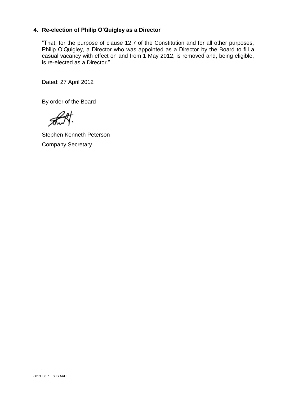### <span id="page-3-0"></span>**4. Re-election of Philip O'Quigley as a Director**

"That, for the purpose of clause 12.7 of the Constitution and for all other purposes, Philip O'Quigley, a Director who was appointed as a Director by the Board to fill a casual vacancy with effect on and from 1 May 2012, is removed and, being eligible, is re-elected as a Director."

Dated: 27 April 2012

By order of the Board

Stephen Kenneth Peterson Company Secretary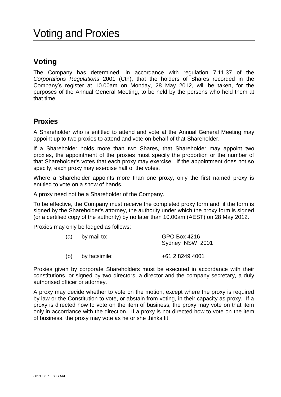## **Voting**

The Company has determined, in accordance with regulation 7.11.37 of the *Corporations Regulations* 2001 (Cth), that the holders of Shares recorded in the Company's register at 10.00am on Monday, 28 May 2012, will be taken, for the purposes of the Annual General Meeting, to be held by the persons who held them at that time.

### **Proxies**

A Shareholder who is entitled to attend and vote at the Annual General Meeting may appoint up to two proxies to attend and vote on behalf of that Shareholder.

If a Shareholder holds more than two Shares, that Shareholder may appoint two proxies, the appointment of the proxies must specify the proportion or the number of that Shareholder's votes that each proxy may exercise. If the appointment does not so specify, each proxy may exercise half of the votes.

Where a Shareholder appoints more than one proxy, only the first named proxy is entitled to vote on a show of hands.

A proxy need not be a Shareholder of the Company.

To be effective, the Company must receive the completed proxy form and, if the form is signed by the Shareholder's attorney, the authority under which the proxy form is signed (or a certified copy of the authority) by no later than 10.00am (AEST) on 28 May 2012.

Proxies may only be lodged as follows:

| (a) | by mail to:   | GPO Box 4216    |  |  |
|-----|---------------|-----------------|--|--|
|     |               | Sydney NSW 2001 |  |  |
| (b) | by facsimile: | +61 2 8249 4001 |  |  |

Proxies given by corporate Shareholders must be executed in accordance with their constitutions, or signed by two directors, a director and the company secretary, a duly authorised officer or attorney.

A proxy may decide whether to vote on the motion, except where the proxy is required by law or the Constitution to vote, or abstain from voting, in their capacity as proxy. If a proxy is directed how to vote on the item of business, the proxy may vote on that item only in accordance with the direction. If a proxy is not directed how to vote on the item of business, the proxy may vote as he or she thinks fit.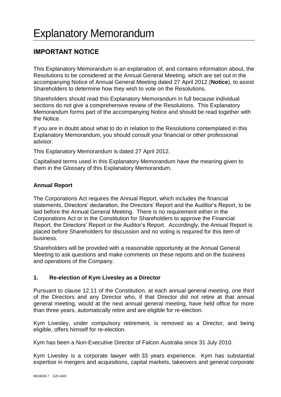### **IMPORTANT NOTICE**

This Explanatory Memorandum is an explanation of, and contains information about, the Resolutions to be considered at the Annual General Meeting, which are set out in the accompanying Notice of Annual General Meeting dated 27 April 2012 (**Notice**), to assist Shareholders to determine how they wish to vote on the Resolutions.

Shareholders should read this Explanatory Memorandum in full because individual sections do not give a comprehensive review of the Resolutions. This Explanatory Memorandum forms part of the accompanying Notice and should be read together with the Notice.

If you are in doubt about what to do in relation to the Resolutions contemplated in this Explanatory Memorandum, you should consult your financial or other professional advisor.

This Explanatory Memorandum is dated 27 April 2012.

Capitalised terms used in this Explanatory Memorandum have the meaning given to them in the Glossary of this Explanatory Memorandum.

#### **Annual Report**

The Corporations Act requires the Annual Report, which includes the financial statements, Directors' declaration, the Directors' Report and the Auditor's Report, to be laid before the Annual General Meeting. There is no requirement either in the Corporations Act or in the Constitution for Shareholders to approve the Financial Report, the Directors' Report or the Auditor's Report. Accordingly, the Annual Report is placed before Shareholders for discussion and no voting is required for this item of business.

Shareholders will be provided with a reasonable opportunity at the Annual General Meeting to ask questions and make comments on these reports and on the business and operations of the Company.

#### <span id="page-5-0"></span>**1. Re-election of Kym Livesley as a Director**

Pursuant to clause 12.11 of the Constitution, at each annual general meeting, one third of the Directors and any Director who, if that Director did not retire at that annual general meeting, would at the next annual general meeting, have held office for more than three years, automatically retire and are eligible for re-election.

Kym Livesley, under compulsory retirement, is removed as a Director, and being eligible, offers himself for re-election.

Kym has been a Non-Executive Director of Falcon Australia since 31 July 2010.

Kym Livesley is a corporate lawyer with 33 years experience. Kym has substantial expertise in mergers and acquisitions, capital markets, takeovers and general corporate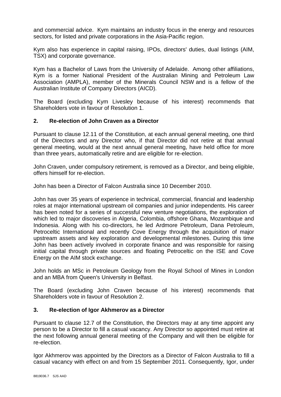and commercial advice. Kym maintains an industry focus in the energy and resources sectors, for listed and private corporations in the Asia-Pacific region.

Kym also has experience in capital raising, IPOs, directors' duties, dual listings (AIM, TSX) and corporate governance.

Kym has a Bachelor of Laws from the University of Adelaide. Among other affiliations, Kym is a former National President of the Australian Mining and Petroleum Law Association (AMPLA), member of the Minerals Council NSW and is a fellow of the Australian Institute of Company Directors (AICD).

The Board (excluding Kym Livesley because of his interest) recommends that Shareholders vote in favour of Resolution [1.](#page-5-0)

#### <span id="page-6-0"></span>**2. Re-election of John Craven as a Director**

Pursuant to clause 12.11 of the Constitution, at each annual general meeting, one third of the Directors and any Director who, if that Director did not retire at that annual general meeting, would at the next annual general meeting, have held office for more than three years, automatically retire and are eligible for re-election.

John Craven, under compulsory retirement, is removed as a Director, and being eligible, offers himself for re-election.

John has been a Director of Falcon Australia since 10 December 2010.

John has over 35 years of experience in technical, commercial, financial and leadership roles at major international upstream oil companies and junior independents. His career has been noted for a series of successful new venture negotiations, the exploration of which led to major discoveries in Algeria, Colombia, offshore Ghana, Mozambique and Indonesia. Along with his co-directors, he led Ardmore Petroleum, Dana Petroleum, Petroceltic International and recently Cove Energy through the acquisition of major upstream assets and key exploration and developmental milestones. During this time John has been actively involved in corporate finance and was responsible for raising initial capital through private sources and floating Petroceltic on the ISE and Cove Energy on the AIM stock exchange.

John holds an MSc in Petroleum Geology from the Royal School of Mines in London and an MBA from Queen's University in Belfast.

The Board (excluding John Craven because of his interest) recommends that Shareholders vote in favour of Resolution [2.](#page-6-0)

#### <span id="page-6-1"></span>**3. Re-election of Igor Akhmerov as a Director**

Pursuant to clause 12.7 of the Constitution, the Directors may at any time appoint any person to be a Director to fill a casual vacancy. Any Director so appointed must retire at the next following annual general meeting of the Company and will then be eligible for re-election.

Igor Akhmerov was appointed by the Directors as a Director of Falcon Australia to fill a casual vacancy with effect on and from 15 September 2011. Consequently, Igor, under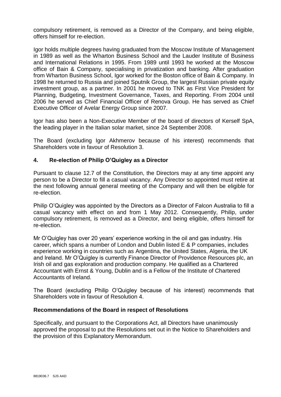compulsory retirement, is removed as a Director of the Company, and being eligible, offers himself for re-election.

Igor holds multiple degrees having graduated from the Moscow Institute of Management in 1989 as well as the Wharton Business School and the Lauder Institute of Business and International Relations in 1995. From 1989 until 1993 he worked at the Moscow office of Bain & Company, specialising in privatization and banking. After graduation from Wharton Business School, Igor worked for the Boston office of Bain & Company. In 1998 he returned to Russia and joined Sputnik Group, the largest Russian private equity investment group, as a partner. In 2001 he moved to TNK as First Vice President for Planning, Budgeting, Investment Governance, Taxes, and Reporting. From 2004 until 2006 he served as Chief Financial Officer of Renova Group. He has served as Chief Executive Officer of Avelar Energy Group since 2007.

Igor has also been a Non-Executive Member of the board of directors of Kerself SpA, the leading player in the Italian solar market, since 24 September 2008.

The Board (excluding Igor Akhmerov because of his interest) recommends that Shareholders vote in favour of Resolution [3.](#page-6-1)

#### **4. Re-election of Philip O'Quigley as a Director**

Pursuant to clause 12.7 of the Constitution, the Directors may at any time appoint any person to be a Director to fill a casual vacancy. Any Director so appointed must retire at the next following annual general meeting of the Company and will then be eligible for re-election.

Philip O'Quigley was appointed by the Directors as a Director of Falcon Australia to fill a casual vacancy with effect on and from 1 May 2012. Consequently, Philip, under compulsory retirement, is removed as a Director, and being eligible, offers himself for re-election.

Mr O'Quigley has over 20 years' experience working in the oil and gas industry. His career, which spans a number of London and Dublin listed E & P companies, includes experience working in countries such as Argentina, the United States, Algeria, the UK and Ireland. Mr O'Quigley is currently Finance Director of Providence Resources plc, an Irish oil and gas exploration and production company. He qualified as a Chartered Accountant with Ernst & Young, Dublin and is a Fellow of the Institute of Chartered Accountants of Ireland.

The Board (excluding Philip O'Quigley because of his interest) recommends that Shareholders vote in favour of Resolution [4.](#page-3-0)

#### **Recommendations of the Board in respect of Resolutions**

Specifically, and pursuant to the Corporations Act, all Directors have unanimously approved the proposal to put the Resolutions set out in the Notice to Shareholders and the provision of this Explanatory Memorandum.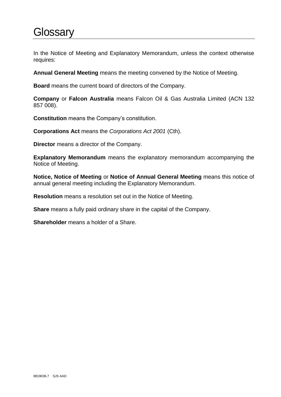# **Glossary**

In the Notice of Meeting and Explanatory Memorandum, unless the context otherwise requires:

**Annual General Meeting** means the meeting convened by the Notice of Meeting.

**Board** means the current board of directors of the Company.

**Company** or **Falcon Australia** means Falcon Oil & Gas Australia Limited (ACN 132 857 008).

**Constitution** means the Company's constitution.

**Corporations Act** means the *Corporations Act 2001* (Cth).

**Director** means a director of the Company.

**Explanatory Memorandum** means the explanatory memorandum accompanying the Notice of Meeting.

**Notice, Notice of Meeting** or **Notice of Annual General Meeting** means this notice of annual general meeting including the Explanatory Memorandum.

**Resolution** means a resolution set out in the Notice of Meeting.

**Share** means a fully paid ordinary share in the capital of the Company.

**Shareholder** means a holder of a Share.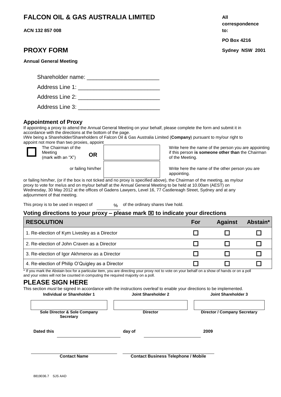### **FALCON OIL & GAS AUSTRALIA LIMITED All**

**ACN 132 857 008**

|  |  | <b>Annual General Meeting</b> |
|--|--|-------------------------------|
|--|--|-------------------------------|

| Shareholder name: |  |
|-------------------|--|
| Address Line 1:   |  |
| Address Line 2:   |  |

Address Line 3: **Example 3:**  $\blacksquare$ 

#### **Appointment of Proxy**

If appointing a proxy to attend the Annual General Meeting on your behalf, please complete the form and submit it in accordance with the directions at the bottom of the page.

I/We being a Shareholder/Shareholders of Falcon Oil & Gas Australia Limited (**Company**) pursuant to my/our right to appoint not more than two proxies, appoint

 $\Box$ 

The Chairman of the Meeting (mark with an "X") **OR**

Write here the name of the person you are appointing if this person **is someone other than** the Chairman of the Meeting.

or failing him/her  $\parallel$  are write here the name of the other person you are appointing.

or failing him/her, (or if the box is not ticked and no proxy is specified above), the Chairman of the meeting, as my/our proxy to vote for me/us and on my/our behalf at the Annual General Meeting to be held at 10.00am (AEST) on Wednesday, 30 May 2012 at the offices of Gadens Lawyers, Level 16, 77 Castlereagh Street, Sydney and at any adjournment of that meeting.

This proxy is to be used in respect of % of the ordinary shares I/we hold.

#### **Voting directions to your proxy – please mark to indicate your directions**

| <b>RESOLUTION</b>                                | For | <b>Against</b> | Abstain* |
|--------------------------------------------------|-----|----------------|----------|
| 1. Re-election of Kym Livesley as a Director     |     |                |          |
| 2. Re-election of John Craven as a Director      |     |                |          |
| 3. Re-election of Igor Akhmerov as a Director    |     |                |          |
| 4. Re-election of Philip O'Quigley as a Director |     |                |          |

\* If you mark the Abstain box for a particular item, you are directing your proxy not to vote on your behalf on a show of hands or on a poll and your votes will not be counted in computing the required majority on a poll.

### **PLEASE SIGN HERE**

This section *must* be signed in accordance with the instructions overleaf to enable your directions to be implemented.

| Individual or Shareholder 1                      | Joint Shareholder 2                        | Joint Shareholder 3                 |
|--------------------------------------------------|--------------------------------------------|-------------------------------------|
| Sole Director & Sole Company<br><b>Secretary</b> | <b>Director</b>                            | <b>Director / Company Secretary</b> |
| Dated this                                       | day of                                     | 2009                                |
| <b>Contact Name</b>                              | <b>Contact Business Telephone / Mobile</b> |                                     |